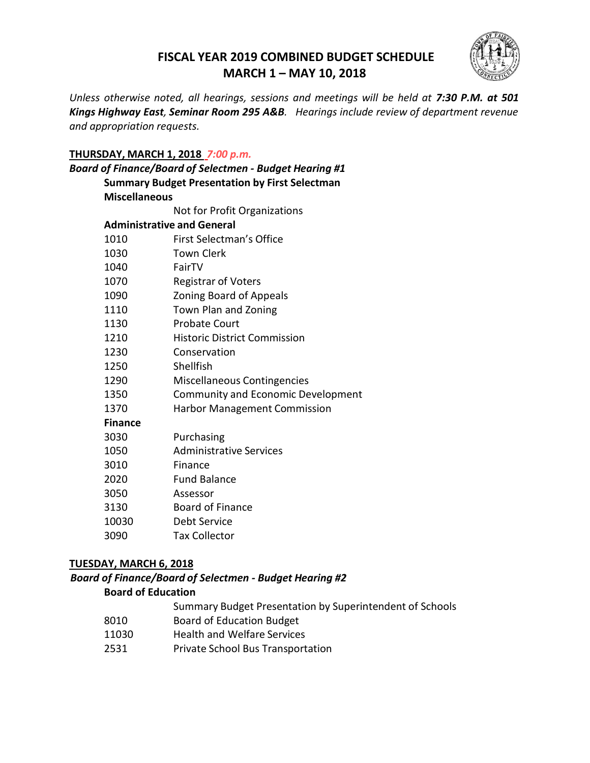# **FISCAL YEAR 2019 COMBINED BUDGET SCHEDULE MARCH 1 – MAY 10, 2018**



*Unless otherwise noted, all hearings, sessions and meetings will be held at 7:30 P.M. at 501 Kings Highway East, Seminar Room 295 A&B. Hearings include review of department revenue and appropriation requests.*

### **THURSDAY, MARCH 1, 2018** *7:00 p.m.*

| Board of Finance/Board of Selectmen - Budget Hearing #1 |  |  |
|---------------------------------------------------------|--|--|
| <b>Summary Budget Presentation by First Selectman</b>   |  |  |
| <b>Miscellaneous</b>                                    |  |  |
| Not for Profit Organizations                            |  |  |
| <b>Administrative and General</b>                       |  |  |
| First Selectman's Office                                |  |  |
| <b>Town Clerk</b>                                       |  |  |
| FairTV                                                  |  |  |
| <b>Registrar of Voters</b>                              |  |  |
| Zoning Board of Appeals                                 |  |  |
| Town Plan and Zoning                                    |  |  |
| <b>Probate Court</b>                                    |  |  |
| <b>Historic District Commission</b>                     |  |  |
| Conservation                                            |  |  |
| Shellfish                                               |  |  |
| Miscellaneous Contingencies                             |  |  |
| Community and Economic Development                      |  |  |
| <b>Harbor Management Commission</b>                     |  |  |
|                                                         |  |  |
| Purchasing                                              |  |  |
| <b>Administrative Services</b>                          |  |  |
| Finance                                                 |  |  |
| <b>Fund Balance</b>                                     |  |  |
| Assessor                                                |  |  |
| <b>Board of Finance</b>                                 |  |  |
| Debt Service                                            |  |  |
| <b>Tax Collector</b>                                    |  |  |
|                                                         |  |  |

# **TUESDAY, MARCH 6, 2018**

#### *Board of Finance/Board of Selectmen - Budget Hearing #2*

#### **Board of Education**

- Summary Budget Presentation by Superintendent of Schools
- 8010 Board of Education Budget
- 11030 Health and Welfare Services
- 2531 Private School Bus Transportation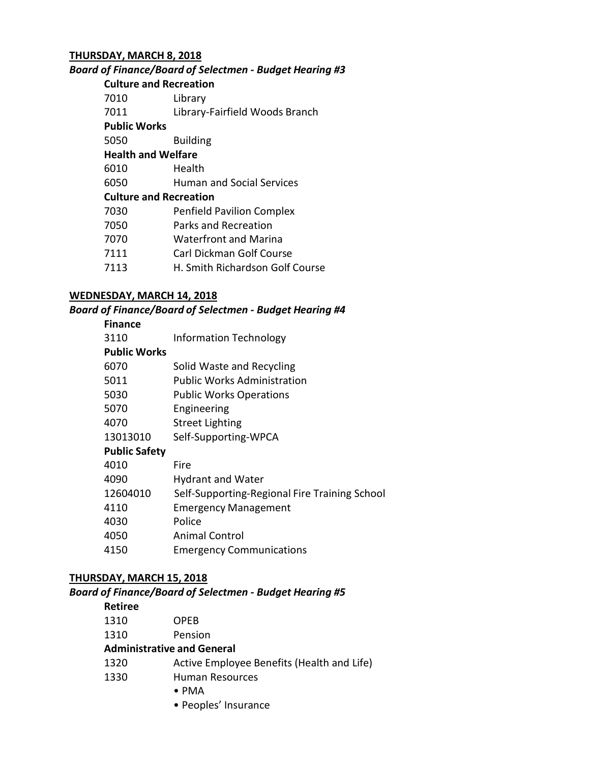# **THURSDAY, MARCH 8, 2018**

### *Board of Finance/Board of Selectmen - Budget Hearing #3*

### **Culture and Recreation**

| Library |
|---------|
|         |

Library-Fairfield Woods Branch

# **Public Works**

Building

- **Health and Welfare**
- Health
- Human and Social Services

# **Culture and Recreation**

| 7030 | <b>Penfield Pavilion Complex</b> |  |
|------|----------------------------------|--|
|      |                                  |  |

- Parks and Recreation
- Waterfront and Marina
- Carl Dickman Golf Course
- H. Smith Richardson Golf Course

# **WEDNESDAY, MARCH 14, 2018**

# *Board of Finance/Board of Selectmen - Budget Hearing #4*

# **Finance**

| 3110                | <b>Information Technology</b> |
|---------------------|-------------------------------|
| <b>Public Works</b> |                               |

- Solid Waste and Recycling
- Public Works Administration
- Public Works Operations
- Engineering
- Street Lighting
- Self-Supporting-WPCA

# **Public Safety**

| Fire                                          |
|-----------------------------------------------|
| <b>Hydrant and Water</b>                      |
| Self-Supporting-Regional Fire Training School |
| <b>Emergency Management</b>                   |
| Police                                        |
| <b>Animal Control</b>                         |
| <b>Emergency Communications</b>               |
|                                               |

# **THURSDAY, MARCH 15, 2018**

# *Board of Finance/Board of Selectmen - Budget Hearing #5*

# **Retiree**

| 1310 | <b>OPEB</b> |
|------|-------------|
|      |             |

Pension

# **Administrative and General**

- Active Employee Benefits (Health and Life)
- Human Resources
	- PMA
	- Peoples' Insurance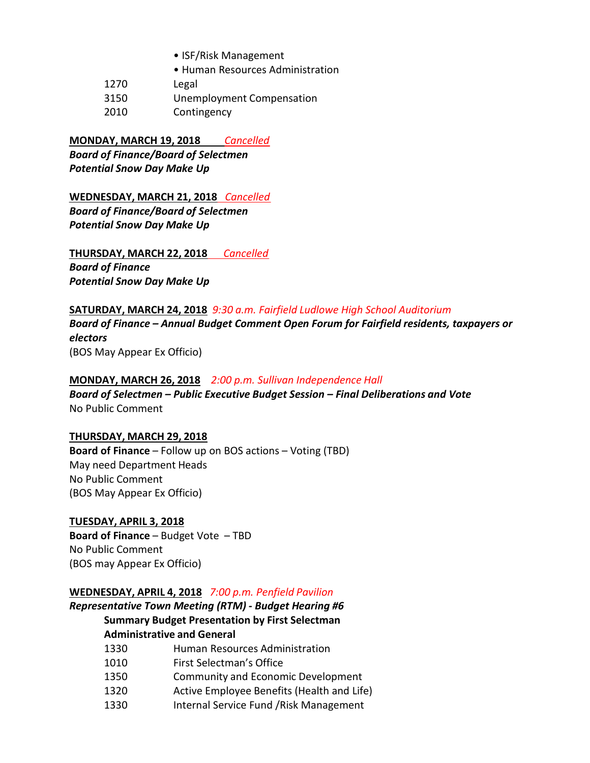- ISF/Risk Management
- Human Resources Administration
- 1270 Legal
- 3150 Unemployment Compensation
- 2010 Contingency

# **MONDAY, MARCH 19, 2018** *Cancelled*

*Board of Finance/Board of Selectmen Potential Snow Day Make Up*

# **WEDNESDAY, MARCH 21, 2018** *Cancelled*

*Board of Finance/Board of Selectmen Potential Snow Day Make Up*

**THURSDAY, MARCH 22, 2018** *Cancelled Board of Finance Potential Snow Day Make Up*

#### **SATURDAY, MARCH 24, 2018** *9:30 a.m. Fairfield Ludlowe High School Auditorium*

*Board of Finance – Annual Budget Comment Open Forum for Fairfield residents, taxpayers or electors* (BOS May Appear Ex Officio)

# **MONDAY, MARCH 26, 2018** *2:00 p.m. Sullivan Independence Hall*

*Board of Selectmen – Public Executive Budget Session – Final Deliberations and Vote* No Public Comment

#### **THURSDAY, MARCH 29, 2018**

**Board of Finance** – Follow up on BOS actions – Voting (TBD) May need Department Heads No Public Comment (BOS May Appear Ex Officio)

# **TUESDAY, APRIL 3, 2018**

**Board of Finance** – Budget Vote – TBD No Public Comment (BOS may Appear Ex Officio)

# **WEDNESDAY, APRIL 4, 2018** *7:00 p.m. Penfield Pavilion*

# *Representative Town Meeting (RTM) - Budget Hearing #6* **Summary Budget Presentation by First Selectman Administrative and General**

- 1330 Human Resources Administration
- 1010 First Selectman's Office
- 1350 Community and Economic Development
- 1320 Active Employee Benefits (Health and Life)
- 1330 Internal Service Fund /Risk Management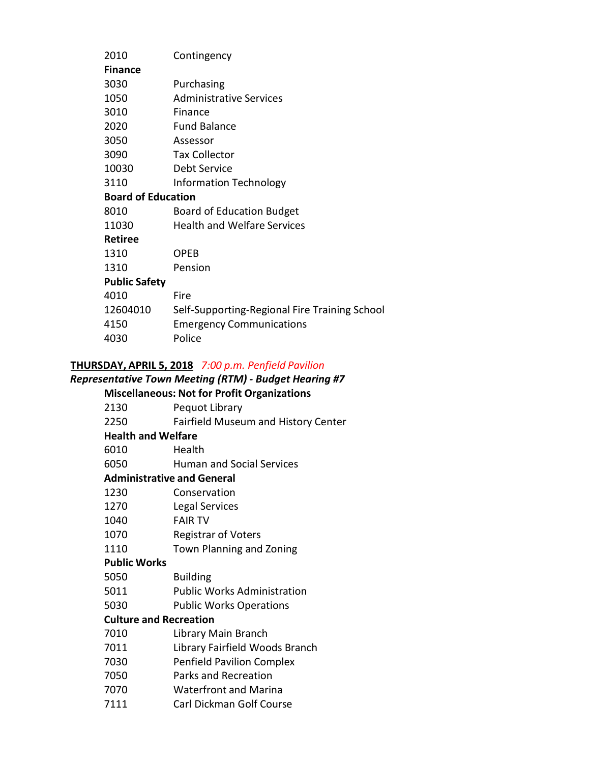| 2010                      | Contingency                                   |  |
|---------------------------|-----------------------------------------------|--|
| <b>Finance</b>            |                                               |  |
| 3030                      | Purchasing                                    |  |
| 1050                      | <b>Administrative Services</b>                |  |
| 3010                      | Finance                                       |  |
| 2020                      | <b>Fund Balance</b>                           |  |
| 3050                      | Assessor                                      |  |
| 3090                      | <b>Tax Collector</b>                          |  |
| 10030                     | Debt Service                                  |  |
| 3110                      | <b>Information Technology</b>                 |  |
| <b>Board of Education</b> |                                               |  |
| 8010                      | <b>Board of Education Budget</b>              |  |
| 11030                     | <b>Health and Welfare Services</b>            |  |
| <b>Retiree</b>            |                                               |  |
| 1310                      | OPEB                                          |  |
| 1310                      | Pension                                       |  |
| <b>Public Safety</b>      |                                               |  |
| 4010                      | Fire                                          |  |
| 12604010                  | Self-Supporting-Regional Fire Training School |  |
| 4150                      | <b>Emergency Communications</b>               |  |
| 4030                      | Police                                        |  |
|                           |                                               |  |

# **THURSDAY, APRIL 5, 2018** *7:00 p.m. Penfield Pavilion*

# *Representative Town Meeting (RTM) - Budget Hearing #7*

# **Miscellaneous: Not for Profit Organizations**

| 2130                              | Pequot Library                      |  |
|-----------------------------------|-------------------------------------|--|
| 2250                              | Fairfield Museum and History Center |  |
| <b>Health and Welfare</b>         |                                     |  |
| 6010                              | Health                              |  |
| 6050                              | <b>Human and Social Services</b>    |  |
| <b>Administrative and General</b> |                                     |  |
| 1230                              | Conservation                        |  |
| 1270                              | Legal Services                      |  |
| 1040                              | <b>FAIR TV</b>                      |  |
| 1070                              | <b>Registrar of Voters</b>          |  |
| 1110                              | Town Planning and Zoning            |  |
| <b>Public Works</b>               |                                     |  |
| 5050                              | <b>Building</b>                     |  |
| 5011                              | <b>Public Works Administration</b>  |  |
| 5030                              | <b>Public Works Operations</b>      |  |
| <b>Culture and Recreation</b>     |                                     |  |
| 7010                              | Library Main Branch                 |  |
| 7011                              | Library Fairfield Woods Branch      |  |
| 7030                              | <b>Penfield Pavilion Complex</b>    |  |
| 7050                              | Parks and Recreation                |  |
| 7070                              | <b>Waterfront and Marina</b>        |  |
| 7111                              | Carl Dickman Golf Course            |  |